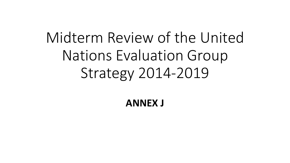## Midterm Review of the United Nations Evaluation Group Strategy 2014-2019

**ANNEX J**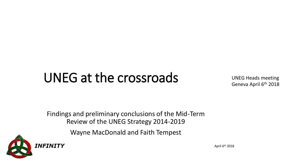## UNEG at the crossroads

UNEG Heads meeting Geneva April 6<sup>th</sup> 2018

Findings and preliminary conclusions of the Mid-Term Review of the UNEG Strategy 2014-2019

Wayne MacDonald and Faith Tempest



April 6th 2018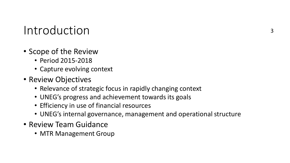#### Introduction

- Scope of the Review
	- Period 2015-2018
	- Capture evolving context
- Review Objectives
	- Relevance of strategic focus in rapidly changing context
	- UNEG's progress and achievement towards its goals
	- Efficiency in use of financial resources
	- UNEG's internal governance, management and operational structure
- Review Team Guidance
	- MTR Management Group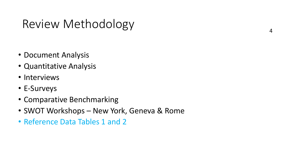#### Review Methodology  $\bigcup$  4

- Document Analysis
- Quantitative Analysis
- Interviews
- E-Surveys
- Comparative Benchmarking
- SWOT Workshops New York, Geneva & Rome
- Reference Data Tables 1 and 2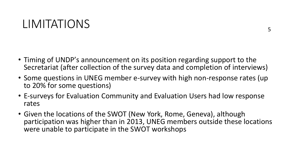#### LIMITATIONS

- Timing of UNDP's announcement on its position regarding support to the Secretariat (after collection of the survey data and completion of interviews)
- Some questions in UNEG member e-survey with high non-response rates (up to 20% for some questions)
- E-surveys for Evaluation Community and Evaluation Users had low response rates
- Given the locations of the SWOT (New York, Rome, Geneva), although participation was higher than in 2013, UNEG members outside these locations were unable to participate in the SWOT workshops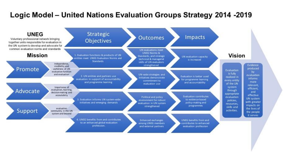#### Logic Model - United Nations Evaluation Groups Strategy 2014 -2019

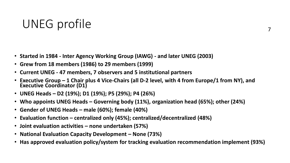#### UNEG profile

- **Started in 1984 - Inter Agency Working Group (IAWG) - and later UNEG (2003)**
- **Grew from 18 members (1986) to 29 members (1999)**
- **Current UNEG - 47 members, 7 observers and 5 institutional partners**
- **Executive Group – 1 Chair plus 4 Vice-Chairs (all D-2 level, with 4 from Europe/1 from NY), and Executive Coordinator (D1)**
- **UNEG Heads – D2 (19%); D1 (19%); P5 (29%); P4 (26%)**
- **Who appoints UNEG Heads – Governing body (11%), organization head (65%); other (24%)**
- **Gender of UNEG Heads – male (60%); female (40%)**
- **Evaluation function – centralized only (45%); centralized/decentralized (48%)**
- **Joint evaluation activities – none undertaken (57%)**
- **National Evaluation Capacity Development – None (73%)**
- **Has approved evaluation policy/system for tracking evaluation recommendation implement (93%)**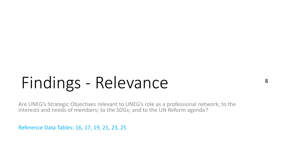# Findings - Relevance

Are UNEG's Strategic Objectives relevant to UNEG's role as a professional network; to the interests and needs of members; to the SDGs; and to the UN Reform agenda?

Reference Data Tables: 16, 17, 19, 21, 23, 25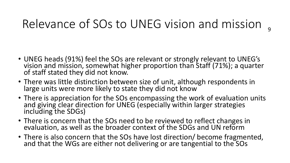### Relevance of SOs to UNEG vision and mission <sub>9</sub>

- UNEG heads (91%) feel the SOs are relevant or strongly relevant to UNEG's vision and mission, somewhat higher proportion than Staff (71%); a quarter of staff stated they did not know.
- There was little distinction between size of unit, although respondents in large units were more likely to state they did not know
- There is appreciation for the SOs encompassing the work of evaluation units and giving clear direction for UNEG (especially within larger strategies including the SDGs)
- There is concern that the SOs need to be reviewed to reflect changes in evaluation, as well as the broader context of the SDGs and UN reform
- There is also concern that the SOs have lost direction/ become fragmented, and that the WGs are either not delivering or are tangential to the SOs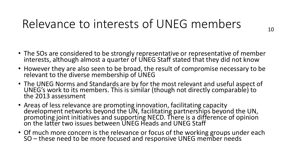#### Relevance to interests of UNEG members

- The SOs are considered to be strongly representative or representative of member interests, although almost a quarter of UNEG Staff stated that they did not know
- However they are also seen to be broad, the result of compromise necessary to be relevant to the diverse membership of UNEG
- The UNEG Norms and Standards are by for the most relevant and useful aspect of UNEG's work to its members. This is similar (though not directly comparable) to the 2013 assessment
- Areas of less relevance are promoting innovation, facilitating capacity development networks beyond the UN, facilitating partnerships beyond the UN, promoting joint initiatives and supporting NECD. There is a difference of opinion on the latter two issues between UNEG Heads and UNEG Staff
- Of much more concern is the relevance or focus of the working groups under each SO – these need to be more focused and responsive UNEG member needs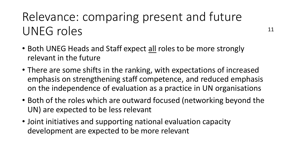### Relevance: comparing present and future UNEG roles

- Both UNEG Heads and Staff expect all roles to be more strongly relevant in the future
- There are some shifts in the ranking, with expectations of increased emphasis on strengthening staff competence, and reduced emphasis on the independence of evaluation as a practice in UN organisations
- Both of the roles which are outward focused (networking beyond the UN) are expected to be less relevant
- Joint initiatives and supporting national evaluation capacity development are expected to be more relevant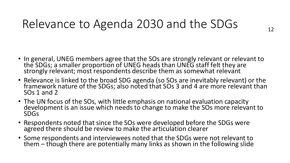#### Relevance to Agenda 2030 and the SDGs

- In general, UNEG members agree that the SOs are strongly relevant or relevant to the SDGs; a smaller proportion of UNEG heads than UNEG staff felt they are strongly relevant; most respondents describe them as somewhat relevant
- Relevance is linked to the broad SDG agenda (so SOs are inevitably relevant) or the framework nature of the SDGs; also noted that SOs 3 and 4 are more relevant than SOs 1 and 2
- The UN focus of the SOs, with little emphasis on national evaluation capacity development is an issue which needs to change to make the SOs more relevant to SDGs
- Respondents noted that since the SOs were developed before the SDGs were agreed there should be review to make the articulation clearer
- Some respondents and interviewees noted that the SDGs were not relevant to them – though there are potentially many links as shown in the following slide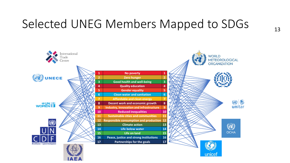### Selected UNEG Members Mapped to SDGs 13

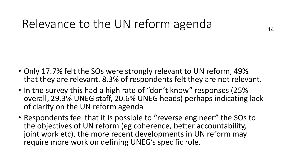#### Relevance to the UN reform agenda

- Only 17.7% felt the SOs were strongly relevant to UN reform, 49% that they are relevant. 8.3% of respondents felt they are not relevant.
- In the survey this had a high rate of "don't know" responses (25% overall, 29.3% UNEG staff, 20.6% UNEG heads) perhaps indicating lack of clarity on the UN reform agenda
- Respondents feel that it is possible to "reverse engineer" the SOs to the objectives of UN reform (eg coherence, better accountability, joint work etc), the more recent developments in UN reform may require more work on defining UNEG's specific role.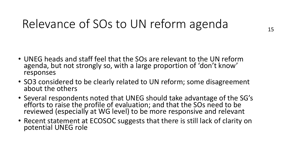#### Relevance of SOs to UN reform agenda

- UNEG heads and staff feel that the SOs are relevant to the UN reform agenda, but not strongly so, with a large proportion of 'don't know' responses
- SO3 considered to be clearly related to UN reform; some disagreement about the others
- Several respondents noted that UNEG should take advantage of the SG's efforts to raise the profile of evaluation; and that the SOs need to be reviewed (especially at WG level) to be more responsive and relevant
- Recent statement at ECOSOC suggests that there is still lack of clarity on potential UNEG role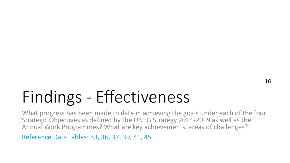## Findings - Effectiveness

What progress has been made to date in achieving the goals under each of the four Strategic Objectives as defined by the UNEG Strategy 2014-2019 as well as the Annual Work Programmes? What are key achievements, areas of challenges?

Reference Data Tables: 33, 36, 37, 39, 41, 45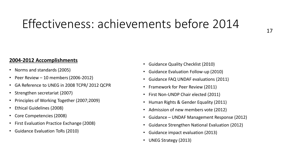#### Effectiveness: achievements before 2014

#### **2004-2012 Accomplishments**

- Norms and standards (2005)
- Peer Review 10 members (2006-2012)
- GA Reference to UNEG in 2008 TCPR/ 2012 QCPR
- Strengthen secretariat (2007)
- Principles of Working Together (2007;2009)
- Ethical Guidelines (2008)
- Core Competencies (2008)
- First Evaluation Practice Exchange (2008)
- Guidance Evaluation ToRs (2010)
- Guidance Quality Checklist (2010)
- Guidance Evaluation Follow-up (2010)
- Guidance FAQ UNDAF evaluations (2011)
- Framework for Peer Review (2011)
- First Non-UNDP Chair elected (2011)
- Human Rights & Gender Equality (2011)
- Admission of new members vote (2012)
- Guidance UNDAF Management Response (2012)
- Guidance Strengthen National Evaluation (2012)
- Guidance impact evaluation (2013)
- UNEG Strategy (2013)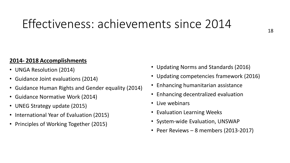#### Effectiveness: achievements since 2014

#### **2014- 2018 Accomplishments**

- UNGA Resolution (2014)
- Guidance Joint evaluations (2014)
- Guidance Human Rights and Gender equality (2014)
- Guidance Normative Work (2014)
- UNEG Strategy update (2015)
- International Year of Evaluation (2015)
- Principles of Working Together (2015)
- Updating Norms and Standards (2016)
- Updating competencies framework (2016)
- Enhancing humanitarian assistance
- Enhancing decentralized evaluation
- Live webinars
- Evaluation Learning Weeks
- System-wide Evaluation, UNSWAP
- Peer Reviews 8 members (2013-2017)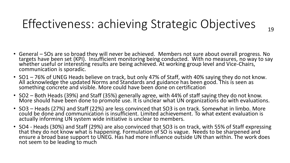### Effectiveness: achieving Strategic Objectives

19

- General SOs are so broad they will never be achieved. Members not sure about overall progress. No targets have been set (KPI). Insufficient monitoring being conducted. With no measures, no way to say whether useful or interesting results are being achieved. At working group level and Vice-Chairs, communication is sporadic.
- SO1 76% of UNEG Heads believe on track, but only 47% of Staff, with 40% saying they do not know. All acknowledge the updated Norms and Standards and guidance has been good. This is seen as something concrete and visible. More could have been done on certification
- SO2 Both Heads (39%) and Staff (35%) generally agree, with 44% of staff saying they do not know. More should have been done to promote use. It is unclear what UN organizations do with evaluations.
- SO3 Heads (27%) and Staff (22%) are less convinced that SO3 is on track. Somewhat in limbo. More could be done and communication is insufficient. Limited achievement. To what extent evaluation is actually informing UN system wide initiative is unclear to members.
- SO4 Heads (30%) and Staff (29%) are also convinced that SO3 is on track, with 55% of Staff expressing that they do not know what is happening. Formulation of SO is vague. Needs to be sharpened and ensure a broad base support to UNEG. Has had more influence outside UN than within. The work does not seem to be leading to much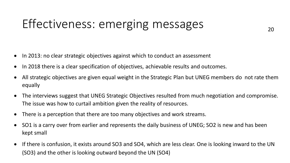#### Effectiveness: emerging messages

- In 2013: no clear strategic objectives against which to conduct an assessment
- In 2018 there is a clear specification of objectives, achievable results and outcomes.
- All strategic objectives are given equal weight in the Strategic Plan but UNEG members do not rate them equally
- The interviews suggest that UNEG Strategic Objectives resulted from much negotiation and compromise. The issue was how to curtail ambition given the reality of resources.
- There is a perception that there are too many objectives and work streams.
- SO1 is a carry over from earlier and represents the daily business of UNEG; SO2 is new and has been kept small
- If there is confusion, it exists around SO3 and SO4, which are less clear. One is looking inward to the UN (SO3) and the other is looking outward beyond the UN (SO4)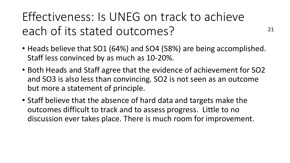Effectiveness: Is UNEG on track to achieve each of its stated outcomes?

• Heads believe that SO1 (64%) and SO4 (58%) are being accomplished. Staff less convinced by as much as 10-20%.

21

- Both Heads and Staff agree that the evidence of achievement for SO2 and SO3 is also less than convincing. SO2 is not seen as an outcome but more a statement of principle.
- Staff believe that the absence of hard data and targets make the outcomes difficult to track and to assess progress. Little to no discussion ever takes place. There is much room for improvement.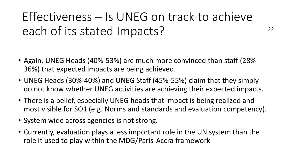### Effectiveness – Is UNEG on track to achieve each of its stated Impacts?

22

- Again, UNEG Heads (40%-53%) are much more convinced than staff (28%- 36%) that expected impacts are being achieved.
- UNEG Heads (30%-40%) and UNEG Staff (45%-55%) claim that they simply do not know whether UNEG activities are achieving their expected impacts.
- There is a belief, especially UNEG heads that impact is being realized and most visible for SO1 (e.g. Norms and standards and evaluation competency).
- System wide across agencies is not strong.
- Currently, evaluation plays a less important role in the UN system than the role it used to play within the MDG/Paris-Accra framework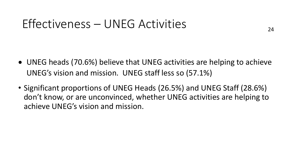#### Effectiveness – UNEG Activities

- UNEG heads (70.6%) believe that UNEG activities are helping to achieve UNEG's vision and mission. UNEG staff less so (57.1%)
- Significant proportions of UNEG Heads (26.5%) and UNEG Staff (28.6%) don't know, or are unconvinced, whether UNEG activities are helping to achieve UNEG's vision and mission.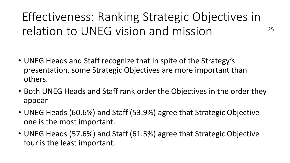Effectiveness: Ranking Strategic Objectives in relation to UNEG vision and mission

25

- UNEG Heads and Staff recognize that in spite of the Strategy's presentation, some Strategic Objectives are more important than others.
- Both UNEG Heads and Staff rank order the Objectives in the order they appear
- UNEG Heads (60.6%) and Staff (53.9%) agree that Strategic Objective one is the most important.
- UNEG Heads (57.6%) and Staff (61.5%) agree that Strategic Objective four is the least important.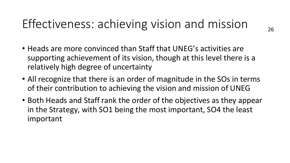#### Effectiveness: achieving vision and mission

- Heads are more convinced than Staff that UNEG's activities are supporting achievement of its vision, though at this level there is a relatively high degree of uncertainty
- All recognize that there is an order of magnitude in the SOs in terms of their contribution to achieving the vision and mission of UNEG
- Both Heads and Staff rank the order of the objectives as they appear in the Strategy, with SO1 being the most important, SO4 the least important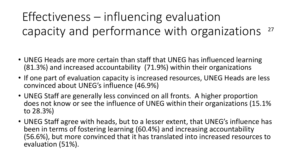#### Effectiveness – influencing evaluation capacity and performance with organizations 27

- UNEG Heads are more certain than staff that UNEG has influenced learning (81.3%) and increased accountability (71.9%) within their organizations
- If one part of evaluation capacity is increased resources, UNEG Heads are less convinced about UNEG's influence (46.9%)
- UNEG Staff are generally less convinced on all fronts. A higher proportion does not know or see the influence of UNEG within their organizations (15.1% to 28.3%)
- UNEG Staff agree with heads, but to a lesser extent, that UNEG's influence has been in terms of fostering learning (60.4%) and increasing accountability (56.6%), but more convinced that it has translated into increased resources to evaluation (51%).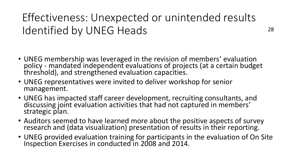#### Effectiveness: Unexpected or unintended results Identified by UNEG Heads

28

- UNEG membership was leveraged in the revision of members' evaluation policy - mandated independent evaluations of projects (at a certain budget threshold), and strengthened evaluation capacities.
- UNEG representatives were invited to deliver workshop for senior management.
- UNEG has impacted staff career development, recruiting consultants, and discussing joint evaluation activities that had not captured in members' strategic plan.
- Auditors seemed to have learned more about the positive aspects of survey research and (data visualization) presentation of results in their reporting.
- UNEG provided evaluation training for participants in the evaluation of On Site Inspection Exercises in conducted in 2008 and 2014.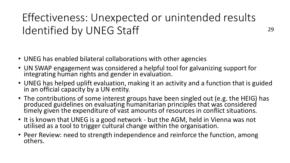#### Effectiveness: Unexpected or unintended results Identified by UNEG Staff

- UNEG has enabled bilateral collaborations with other agencies
- UN SWAP engagement was considered a helpful tool for galvanizing support for integrating human rights and gender in evaluation.
- UNEG has helped uplift evaluation, making it an activity and a function that is guided in an official capacity by a UN entity.
- The contributions of some interest groups have been singled out (e.g. the HEIG) has produced guidelines on evaluating humanitarian principles that was considered timely given the expenditure of vast amounts of resources in conflict situations.
- It is known that UNEG is a good network but the AGM, held in Vienna was not utilised as a tool to trigger cultural change within the organisation.
- Peer Review: need to strength independence and reinforce the function, among others.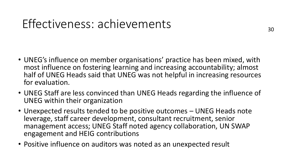#### Effectiveness: achievements

- UNEG's influence on member organisations' practice has been mixed, with most influence on fostering learning and increasing accountability; almost half of UNEG Heads said that UNEG was not helpful in increasing resources for evaluation.
- UNEG Staff are less convinced than UNEG Heads regarding the influence of UNEG within their organization
- Unexpected results tended to be positive outcomes UNEG Heads note leverage, staff career development, consultant recruitment, senior management access; UNEG Staff noted agency collaboration, UN SWAP engagement and HEIG contributions
- Positive influence on auditors was noted as an unexpected result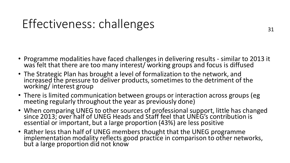#### Effectiveness: challenges

- Programme modalities have faced challenges in delivering results similar to 2013 it was felt that there are too many interest/ working groups and focus is diffused
- The Strategic Plan has brought a level of formalization to the network, and increased the pressure to deliver products, sometimes to the detriment of the working/ interest group
- There is limited communication between groups or interaction across groups (eg meeting regularly throughout the year as previously done)
- When comparing UNEG to other sources of professional support, little has changed since 2013; over half of UNEG Heads and Staff feel that UNEG's contribution is essential or important, but a large proportion (43%) are less positive
- Rather less than half of UNEG members thought that the UNEG programme implementation modality reflects good practice in comparison to other networks, but a large proportion did not know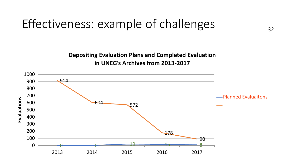#### Effectiveness: example of challenges

**Depositing Evaluation Plans and Completed Evaluation in UNEG's Archives from 2013-2017**

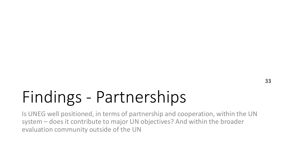## Findings - Partnerships

Is UNEG well positioned, in terms of partnership and cooperation, within the UN system – does it contribute to major UN objectives? And within the broader evaluation community outside of the UN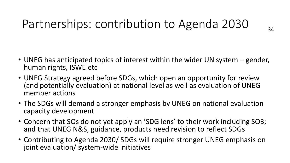#### Partnerships: contribution to Agenda 2030

- UNEG has anticipated topics of interest within the wider UN system gender, human rights, ISWE etc
- UNEG Strategy agreed before SDGs, which open an opportunity for review (and potentially evaluation) at national level as well as evaluation of UNEG member actions
- The SDGs will demand a stronger emphasis by UNEG on national evaluation capacity development
- Concern that SOs do not yet apply an 'SDG lens' to their work including SO3; and that UNEG N&S, guidance, products need revision to reflect SDGs
- Contributing to Agenda 2030/ SDGs will require stronger UNEG emphasis on joint evaluation/ system-wide initiatives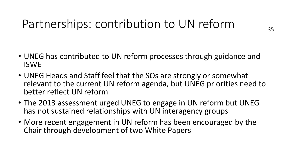#### Partnerships: contribution to UN reform

- UNEG has contributed to UN reform processes through guidance and ISWE
- UNEG Heads and Staff feel that the SOs are strongly or somewhat relevant to the current UN reform agenda, but UNEG priorities need to better reflect UN reform
- The 2013 assessment urged UNEG to engage in UN reform but UNEG has not sustained relationships with UN interagency groups
- More recent engagement in UN reform has been encouraged by the Chair through development of two White Papers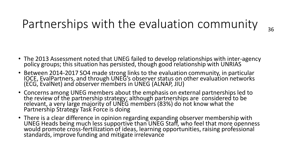#### Partnerships with the evaluation community

- The 2013 Assessment noted that UNEG failed to develop relationships with inter-agency policy groups; this situation has persisted, though good relationship with UNRIAS
- Between 2014-2017 SO4 made strong links to the evaluation community, in particular IOCE, EvalPartners, and through UNEG's observer status on other evaluation networks (ECG, EvalNet) and observer members in UNEG (ALNAP, JIU)
- Concerns among UNEG members about the emphasis on external partnerships led to the review of the partnership strategy; although partnerships are considered to be relevant, a very large majority of UNEG members (83%) do not know what the Partnership Strategy Task Force is doing
- There is a clear difference in opinion regarding expanding observer membership with UNEG Heads being much less supportive than UNEG Staff, who feel that more openness would promote cross-fertilization of ideas, learning opportunities, raising professional standards, improve funding and mitigate irrelevance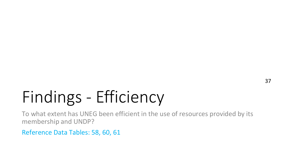## Findings - Efficiency

To what extent has UNEG been efficient in the use of resources provided by its membership and UNDP?

Reference Data Tables: 58, 60, 61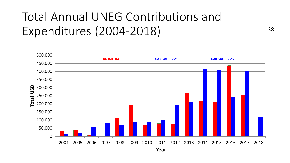### Total Annual UNEG Contributions and Expenditures (2004-2018)

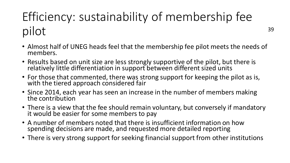### Efficiency: sustainability of membership fee pilot

- Almost half of UNEG heads feel that the membership fee pilot meets the needs of members.
- Results based on unit size are less strongly supportive of the pilot, but there is relatively little differentiation in support between different sized units
- For those that commented, there was strong support for keeping the pilot as is, with the tiered approach considered fair
- Since 2014, each year has seen an increase in the number of members making the contribution
- There is a view that the fee should remain voluntary, but conversely if mandatory it would be easier for some members to pay
- A number of members noted that there is insufficient information on how spending decisions are made, and requested more detailed reporting
- There is very strong support for seeking financial support from other institutions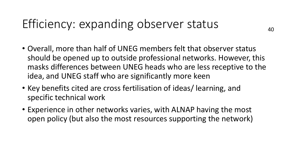#### Efficiency: expanding observer status

- Overall, more than half of UNEG members felt that observer status should be opened up to outside professional networks. However, this masks differences between UNEG heads who are less receptive to the idea, and UNEG staff who are significantly more keen
- Key benefits cited are cross fertilisation of ideas/ learning, and specific technical work
- Experience in other networks varies, with ALNAP having the most open policy (but also the most resources supporting the network)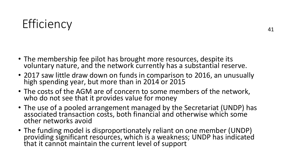#### Efficiency

- The membership fee pilot has brought more resources, despite its voluntary nature, and the network currently has a substantial reserve.
- 2017 saw little draw down on funds in comparison to 2016, an unusually high spending year, but more than in 2014 or 2015
- The costs of the AGM are of concern to some members of the network, who do not see that it provides value for money
- The use of a pooled arrangement managed by the Secretariat (UNDP) has associated transaction costs, both financial and otherwise which some other networks avoid
- The funding model is disproportionately reliant on one member (UNDP) providing significant resources, which is a weakness; UNDP has indicated that it cannot maintain the current level of support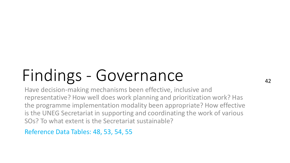# Findings - Governance

Have decision-making mechanisms been effective, inclusive and representative? How well does work planning and prioritization work? Has the programme implementation modality been appropriate? How effective is the UNEG Secretariat in supporting and coordinating the work of various SOs? To what extent is the Secretariat sustainable?

42

Reference Data Tables: 48, 53, 54, 55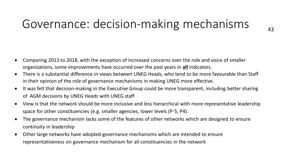#### Governance: decision-making mechanisms

- Comparing 2013 to 2018, with the exception of increased concerns over the role and voice of smaller organizations, some improvements have occurred over the past years in **all** indicators.
- There is a substantial difference in views between UNEG Heads, who tend to be more favourable than Staff in their opinion of the role of governance mechanisms in making UNEG more effective.
- It was felt that decision-making in the Executive Group could be more transparent, including better sharing of AGM decisions by UNEG Heads with UNEG staff
- View is that the network should be more inclusive and less hierarchical with more representative leadership space for other constituencies (e.g. smaller agencies, lower levels (P-5, P4).
- The governance mechanism lacks some of the features of other networks which are designed to ensure continuity in leadership
- Other large networks have adopted governance mechanisms which are intended to ensure representativeness on governance mechanism for all constituencies in the network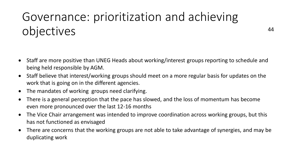### Governance: prioritization and achieving objectives

- Staff are more positive than UNEG Heads about working/interest groups reporting to schedule and being held responsible by AGM.
- Staff believe that interest/working groups should meet on a more regular basis for updates on the work that is going on in the different agencies.
- The mandates of working groups need clarifying.
- There is a general perception that the pace has slowed, and the loss of momentum has become even more pronounced over the last 12-16 months
- The Vice Chair arrangement was intended to improve coordination across working groups, but this has not functioned as envisaged
- There are concerns that the working groups are not able to take advantage of synergies, and may be duplicating work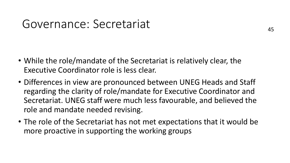#### Governance: Secretariat

- While the role/mandate of the Secretariat is relatively clear, the Executive Coordinator role is less clear.
- Differences in view are pronounced between UNEG Heads and Staff regarding the clarity of role/mandate for Executive Coordinator and Secretariat. UNEG staff were much less favourable, and believed the role and mandate needed revising.
- The role of the Secretariat has not met expectations that it would be more proactive in supporting the working groups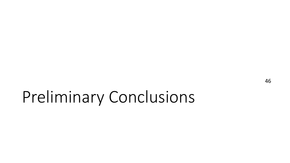## Preliminary Conclusions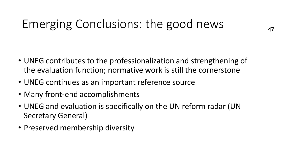### Emerging Conclusions: the good news

- UNEG contributes to the professionalization and strengthening of the evaluation function; normative work is still the cornerstone
- UNEG continues as an important reference source
- Many front-end accomplishments
- UNEG and evaluation is specifically on the UN reform radar (UN Secretary General)
- Preserved membership diversity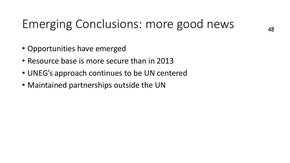#### Emerging Conclusions: more good news

- Opportunities have emerged
- Resource base is more secure than in 2013
- UNEG's approach continues to be UN centered
- Maintained partnerships outside the UN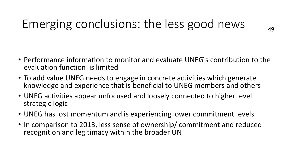### Emerging conclusions: the less good news

49

- Performance information to monitor and evaluate UNEG ́s contribution to the evaluation function is limited
- To add value UNEG needs to engage in concrete activities which generate knowledge and experience that is beneficial to UNEG members and others
- UNEG activities appear unfocused and loosely connected to higher level strategic logic
- UNEG has lost momentum and is experiencing lower commitment levels
- In comparison to 2013, less sense of ownership/ commitment and reduced recognition and legitimacy within the broader UN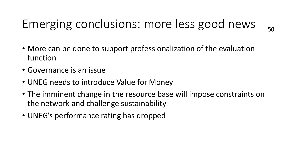### Emerging conclusions: more less good news

- 
- More can be done to support professionalization of the evaluation function
- Governance is an issue
- UNEG needs to introduce Value for Money
- The imminent change in the resource base will impose constraints on the network and challenge sustainability
- UNEG's performance rating has dropped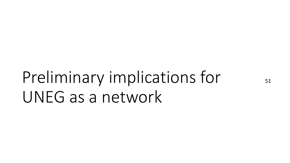# Preliminary implications for UNEG as a network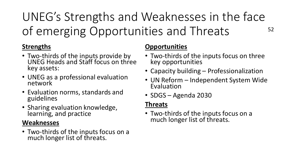UNEG's Strengths and Weaknesses in the face of emerging Opportunities and Threats 52

#### **Strengths**

- Two-thirds of the inputs provide by UNEG Heads and Staff focus on three key assets:
- UNEG as a professional evaluation network
- Evaluation norms, standards and guidelines
- Sharing evaluation knowledge, learning, and practice

#### **Weaknesses**

• Two-thirds of the inputs focus on a much longer list of threats.

#### **Opportunities**

- Two-thirds of the inputs focus on three key opportunities
- Capacity building Professionalization
- UN Reform Independent System Wide Evaluation
- SDGS Agenda 2030

#### **Threats**

• Two-thirds of the inputs focus on a much longer list of threats.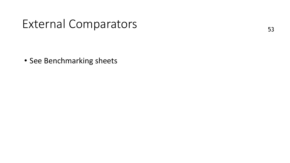#### External Comparators

• See Benchmarking sheets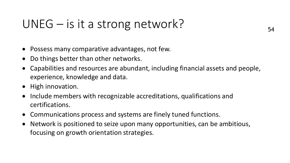#### UNEG – is it a strong network?

- Possess many comparative advantages, not few.
- Do things better than other networks.
- Capabilities and resources are abundant, including financial assets and people, experience, knowledge and data.
- High innovation.
- Include members with recognizable accreditations, qualifications and certifications.
- Communications process and systems are finely tuned functions.
- Network is positioned to seize upon many opportunities, can be ambitious, focusing on growth orientation strategies.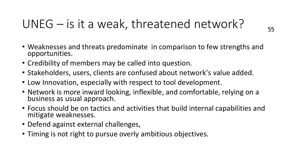### UNEG – is it a weak, threatened network?

- Weaknesses and threats predominate in comparison to few strengths and opportunities.
- Credibility of members may be called into question.
- Stakeholders, users, clients are confused about network's value added.
- Low Innovation, especially with respect to tool development.
- Network is more inward looking, inflexible, and comfortable, relying on a business as usual approach.
- Focus should be on tactics and activities that build internal capabilities and mitigate weaknesses.
- Defend against external challenges,
- Timing is not right to pursue overly ambitious objectives.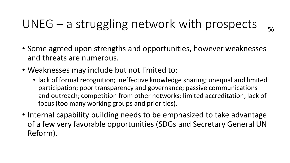#### UNEG – a struggling network with prospects

- 56
- Some agreed upon strengths and opportunities, however weaknesses and threats are numerous.
- Weaknesses may include but not limited to:
	- lack of formal recognition; ineffective knowledge sharing; unequal and limited participation; poor transparency and governance; passive communications and outreach; competition from other networks; limited accreditation; lack of focus (too many working groups and priorities).
- Internal capability building needs to be emphasized to take advantage of a few very favorable opportunities (SDGs and Secretary General UN Reform).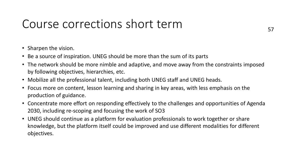#### Course corrections short term

- Sharpen the vision.
- Be a source of inspiration. UNEG should be more than the sum of its parts
- The network should be more nimble and adaptive, and move away from the constraints imposed by following objectives, hierarchies, etc.
- Mobilize all the professional talent, including both UNEG staff and UNEG heads.
- Focus more on content, lesson learning and sharing in key areas, with less emphasis on the production of guidance.
- Concentrate more effort on responding effectively to the challenges and opportunities of Agenda 2030, including re-scoping and focusing the work of SO3
- UNEG should continue as a platform for evaluation professionals to work together or share knowledge, but the platform itself could be improved and use different modalities for different objectives.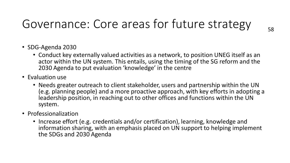### Governance: Core areas for future strategy

- SDG-Agenda 2030
	- Conduct key externally valued activities as a network, to position UNEG itself as an actor within the UN system. This entails, using the timing of the SG reform and the 2030 Agenda to put evaluation 'knowledge' in the centre
- Evaluation use
	- Needs greater outreach to client stakeholder, users and partnership within the UN (e.g. planning people) and a more proactive approach, with key efforts in adopting a leadership position, in reaching out to other offices and functions within the UN system.
- Professionalization
	- Increase effort (e.g. credentials and/or certification), learning, knowledge and information sharing, with an emphasis placed on UN support to helping implement the SDGs and 2030 Agenda